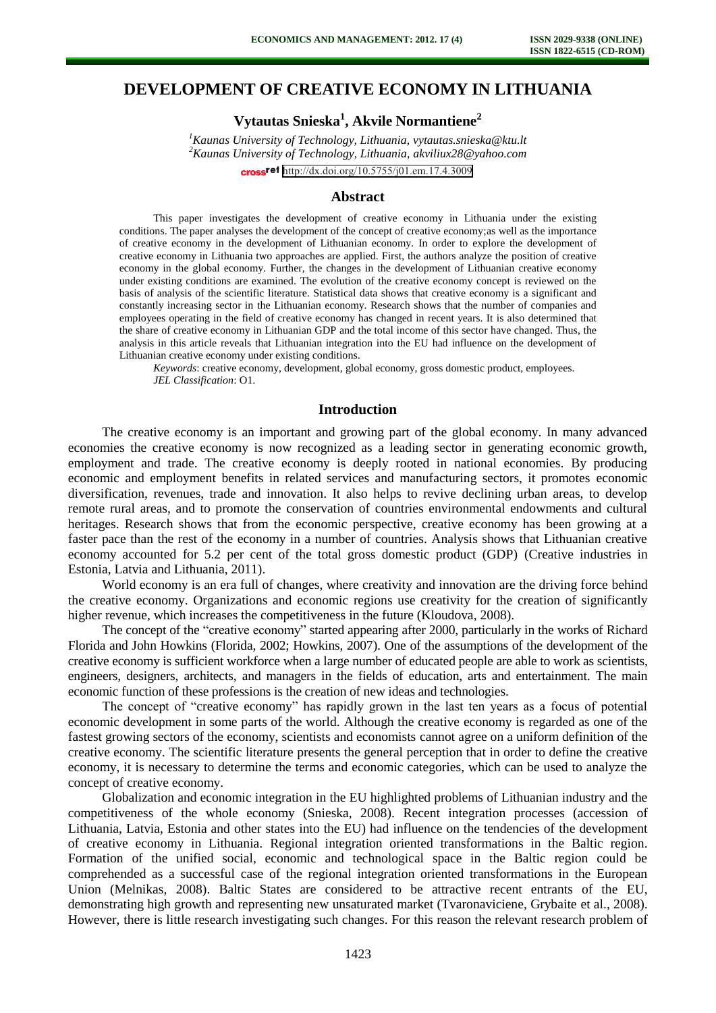# **DEVELOPMENT OF CREATIVE ECONOMY IN LITHUANIA**

# **Vytautas Snieska<sup>1</sup> , Akvile Normantiene<sup>2</sup>**

*<sup>1</sup>Kaunas University of Technology, Lithuania, [vytautas.snieska@ktu.lt](mailto:vytautas.snieska@ktu.lt) <sup>2</sup>Kaunas University of Technology, Lithuania, [akviliux28@yahoo.com](mailto:akviliux28@yahoo.com)* cross<sup>ref</sup> <http://dx.doi.org/10.5755/j01.em.17.4.3009>

# **Abstract**

This paper investigates the development of creative economy in Lithuania under the existing conditions. The paper analyses the development of the concept of creative economy;as well as the importance of creative economy in the development of Lithuanian economy. In order to explore the development of creative economy in Lithuania two approaches are applied. First, the authors analyze the position of creative economy in the global economy. Further, the changes in the development of Lithuanian creative economy under existing conditions are examined. The evolution of the creative economy concept is reviewed on the basis of analysis of the scientific literature. Statistical data shows that creative economy is a significant and constantly increasing sector in the Lithuanian economy. Research shows that the number of companies and employees operating in the field of creative economy has changed in recent years. It is also determined that the share of creative economy in Lithuanian GDP and the total income of this sector have changed. Thus, the analysis in this article reveals that Lithuanian integration into the EU had influence on the development of Lithuanian creative economy under existing conditions.

*Keywords*: creative economy, development, global economy, gross domestic product, employees. *JEL Classification*: O1.

# **Introduction**

The creative economy is an important and growing part of the global economy. In many advanced economies the creative economy is now recognized as a leading sector in generating economic growth, employment and trade. The creative economy is deeply rooted in national economies. By producing economic and employment benefits in related services and manufacturing sectors, it promotes economic diversification, revenues, trade and innovation. It also helps to revive declining urban areas, to develop remote rural areas, and to promote the conservation of countries environmental endowments and cultural heritages. Research shows that from the economic perspective, creative economy has been growing at a faster pace than the rest of the economy in a number of countries. Analysis shows that Lithuanian creative economy accounted for 5.2 per cent of the total gross domestic product (GDP) (Creative industries in Estonia, Latvia and Lithuania, 2011).

World economy is an era full of changes, where creativity and innovation are the driving force behind the creative economy. Organizations and economic regions use creativity for the creation of significantly higher revenue, which increases the competitiveness in the future (Kloudova, 2008).

The concept of the "creative economy" started appearing after 2000, particularly in the works of Richard Florida and John Howkins (Florida, 2002; Howkins, 2007). One of the assumptions of the development of the creative economy is sufficient workforce when a large number of educated people are able to work as scientists, engineers, designers, architects, and managers in the fields of education, arts and entertainment. The main economic function of these professions is the creation of new ideas and technologies.

The concept of "creative economy" has rapidly grown in the last ten years as a focus of potential economic development in some parts of the world. Although the creative economy is regarded as one of the fastest growing sectors of the economy, scientists and economists cannot agree on a uniform definition of the creative economy. The scientific literature presents the general perception that in order to define the creative economy, it is necessary to determine the terms and economic categories, which can be used to analyze the concept of creative economy.

Globalization and economic integration in the EU highlighted problems of Lithuanian industry and the competitiveness of the whole economy (Snieska, 2008). Recent integration processes (accession of Lithuania, Latvia, Estonia and other states into the EU) had influence on the tendencies of the development of creative economy in Lithuania. Regional integration oriented transformations in the Baltic region. Formation of the unified social, economic and technological space in the Baltic region could be comprehended as a successful case of the regional integration oriented transformations in the European Union (Melnikas, 2008). Baltic States are considered to be attractive recent entrants of the EU, demonstrating high growth and representing new unsaturated market (Tvaronaviciene, Grybaite et al., 2008). However, there is little research investigating such changes. For this reason the relevant research problem of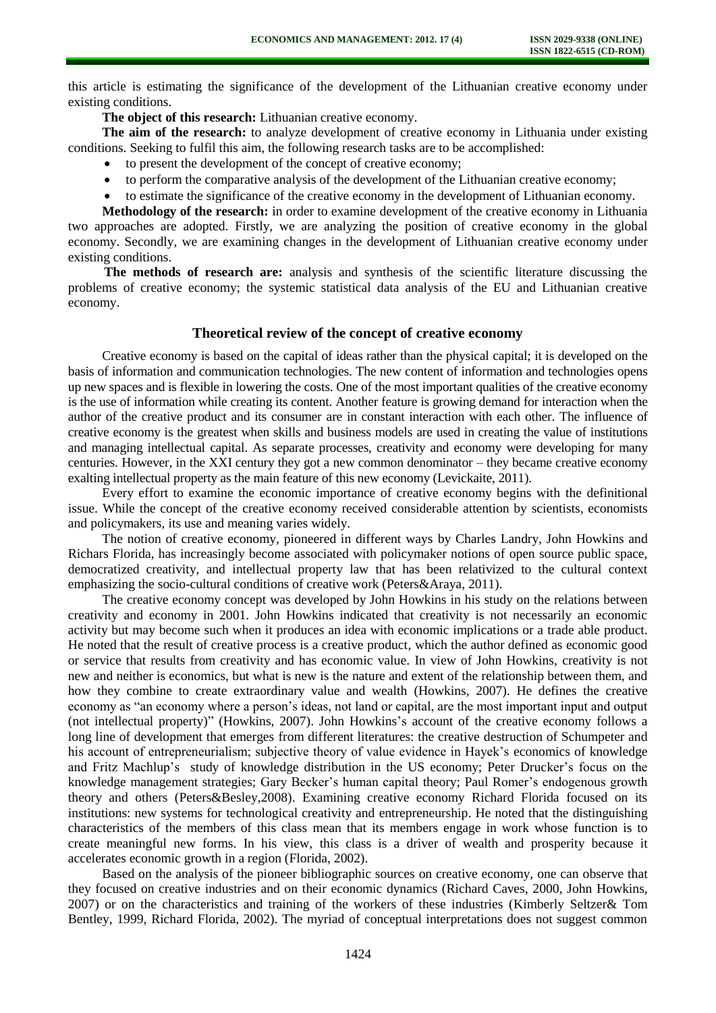this article is estimating the significance of the development of the Lithuanian creative economy under existing conditions.

**The object of this research:** Lithuanian creative economy.

**The aim of the research:** to analyze development of creative economy in Lithuania under existing conditions. Seeking to fulfil this aim, the following research tasks are to be accomplished:

- to present the development of the concept of creative economy;
- to perform the comparative analysis of the development of the Lithuanian creative economy;
- to estimate the significance of the creative economy in the development of Lithuanian economy.

**Methodology of the research:** in order to examine development of the creative economy in Lithuania two approaches are adopted. Firstly, we are analyzing the position of creative economy in the global economy. Secondly, we are examining changes in the development of Lithuanian creative economy under existing conditions.

**The methods of research are:** analysis and synthesis of the scientific literature discussing the problems of creative economy; the systemic statistical data analysis of the EU and Lithuanian creative economy.

# **Theoretical review of the concept of creative economy**

Creative economy is based on the capital of ideas rather than the physical capital; it is developed on the basis of information and communication technologies. The new content of information and technologies opens up new spaces and is flexible in lowering the costs. One of the most important qualities of the creative economy is the use of information while creating its content. Another feature is growing demand for interaction when the author of the creative product and its consumer are in constant interaction with each other. The influence of creative economy is the greatest when skills and business models are used in creating the value of institutions and managing intellectual capital. As separate processes, creativity and economy were developing for many centuries. However, in the XXI century they got a new common denominator – they became creative economy exalting intellectual property as the main feature of this new economy (Levickaite, 2011).

Every effort to examine the economic importance of creative economy begins with the definitional issue. While the concept of the creative economy received considerable attention by scientists, economists and policymakers, its use and meaning varies widely.

The notion of creative economy, pioneered in different ways by Charles Landry, John Howkins and Richars Florida, has increasingly become associated with policymaker notions of open source public space, democratized creativity, and intellectual property law that has been relativized to the cultural context emphasizing the socio-cultural conditions of creative work (Peters&Araya, 2011).

The creative economy concept was developed by John Howkins in his study on the relations between creativity and economy in 2001. John Howkins indicated that creativity is not necessarily an economic activity but may become such when it produces an idea with economic implications or a trade able product. He noted that the result of creative process is a creative product, which the author defined as economic good or service that results from creativity and has economic value. In view of John Howkins, creativity is not new and neither is economics, but what is new is the nature and extent of the relationship between them, and how they combine to create extraordinary value and wealth (Howkins, 2007). He defines the creative economy as "an economy where a person's ideas, not land or capital, are the most important input and output (not intellectual property)" (Howkins, 2007). John Howkins's account of the creative economy follows a long line of development that emerges from different literatures: the creative destruction of Schumpeter and his account of entrepreneurialism; subjective theory of value evidence in Hayek's economics of knowledge and Fritz Machlup's study of knowledge distribution in the US economy; Peter Drucker's focus on the knowledge management strategies; Gary Becker's human capital theory; Paul Romer's endogenous growth theory and others (Peters&Besley,2008). Examining creative economy Richard Florida focused on its institutions: new systems for technological creativity and entrepreneurship. He noted that the distinguishing characteristics of the members of this class mean that its members engage in work whose function is to create meaningful new forms. In his view, this class is a driver of wealth and prosperity because it accelerates economic growth in a region (Florida, 2002).

Based on the analysis of the pioneer bibliographic sources on creative economy, one can observe that they focused on creative industries and on their economic dynamics (Richard Caves, 2000, John Howkins, 2007) or on the characteristics and training of the workers of these industries (Kimberly Seltzer& Tom Bentley, 1999, Richard Florida, 2002). The myriad of conceptual interpretations does not suggest common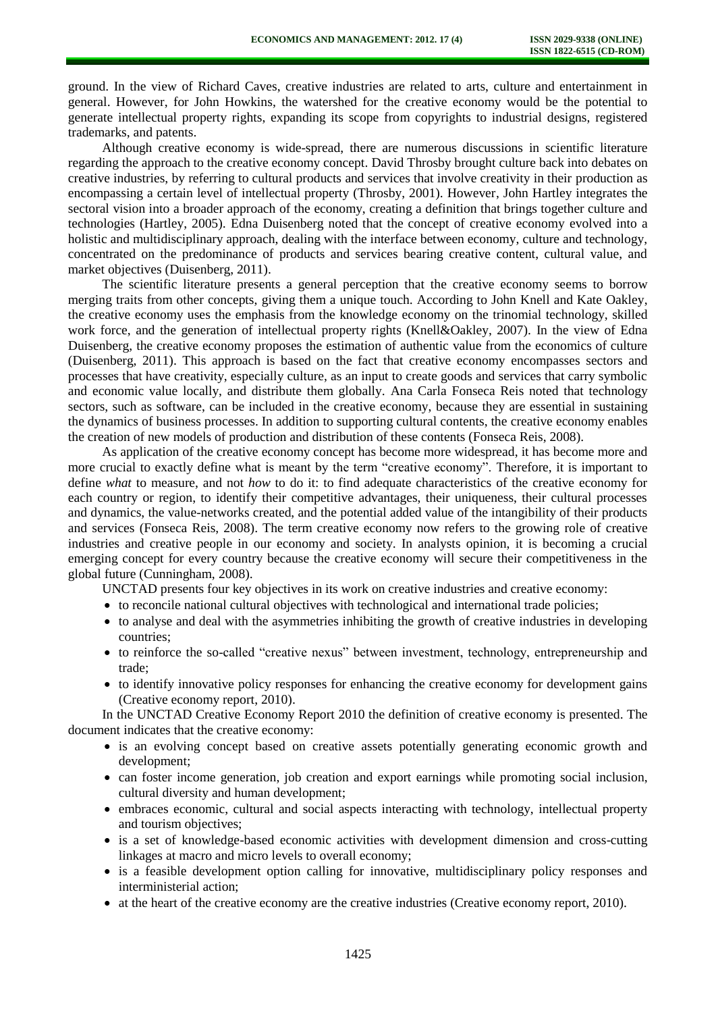ground. In the view of Richard Caves, creative industries are related to arts, culture and entertainment in general. However, for John Howkins, the watershed for the creative economy would be the potential to generate intellectual property rights, expanding its scope from copyrights to industrial designs, registered trademarks, and patents.

Although creative economy is wide-spread, there are numerous discussions in scientific literature regarding the approach to the creative economy concept. David Throsby brought culture back into debates on creative industries, by referring to cultural products and services that involve creativity in their production as encompassing a certain level of intellectual property (Throsby, 2001). However, John Hartley integrates the sectoral vision into a broader approach of the economy, creating a definition that brings together culture and technologies (Hartley, 2005). Edna Duisenberg noted that the concept of creative economy evolved into a holistic and multidisciplinary approach, dealing with the interface between economy, culture and technology, concentrated on the predominance of products and services bearing creative content, cultural value, and market objectives (Duisenberg, 2011).

The scientific literature presents a general perception that the creative economy seems to borrow merging traits from other concepts, giving them a unique touch. According to John Knell and Kate Oakley, the creative economy uses the emphasis from the knowledge economy on the trinomial technology, skilled work force, and the generation of intellectual property rights (Knell&Oakley, 2007). In the view of Edna Duisenberg, the creative economy proposes the estimation of authentic value from the economics of culture (Duisenberg, 2011). This approach is based on the fact that creative economy encompasses sectors and processes that have creativity, especially culture, as an input to create goods and services that carry symbolic and economic value locally, and distribute them globally. Ana Carla Fonseca Reis noted that technology sectors, such as software, can be included in the creative economy, because they are essential in sustaining the dynamics of business processes. In addition to supporting cultural contents, the creative economy enables the creation of new models of production and distribution of these contents (Fonseca Reis, 2008).

As application of the creative economy concept has become more widespread, it has become more and more crucial to exactly define what is meant by the term "creative economy". Therefore, it is important to define *what* to measure, and not *how* to do it: to find adequate characteristics of the creative economy for each country or region, to identify their competitive advantages, their uniqueness, their cultural processes and dynamics, the value-networks created, and the potential added value of the intangibility of their products and services (Fonseca Reis, 2008). The term creative economy now refers to the growing role of creative industries and creative people in our economy and society. In analysts opinion, it is becoming a crucial emerging concept for every country because the creative economy will secure their competitiveness in the global future (Cunningham, 2008).

UNCTAD presents four key objectives in its work on creative industries and creative economy:

- to reconcile national cultural objectives with technological and international trade policies;
- to analyse and deal with the asymmetries inhibiting the growth of creative industries in developing countries;
- to reinforce the so-called "creative nexus" between investment, technology, entrepreneurship and trade;
- to identify innovative policy responses for enhancing the creative economy for development gains (Creative economy report, 2010).

In the UNCTAD Creative Economy Report 2010 the definition of creative economy is presented. The document indicates that the creative economy:

- is an evolving concept based on creative assets potentially generating economic growth and development;
- can foster income generation, job creation and export earnings while promoting social inclusion, cultural diversity and human development;
- embraces economic, cultural and social aspects interacting with technology, intellectual property and tourism objectives;
- is a set of knowledge-based economic activities with development dimension and cross-cutting linkages at macro and micro levels to overall economy;
- is a feasible development option calling for innovative, multidisciplinary policy responses and interministerial action;
- at the heart of the creative economy are the creative industries (Creative economy report, 2010).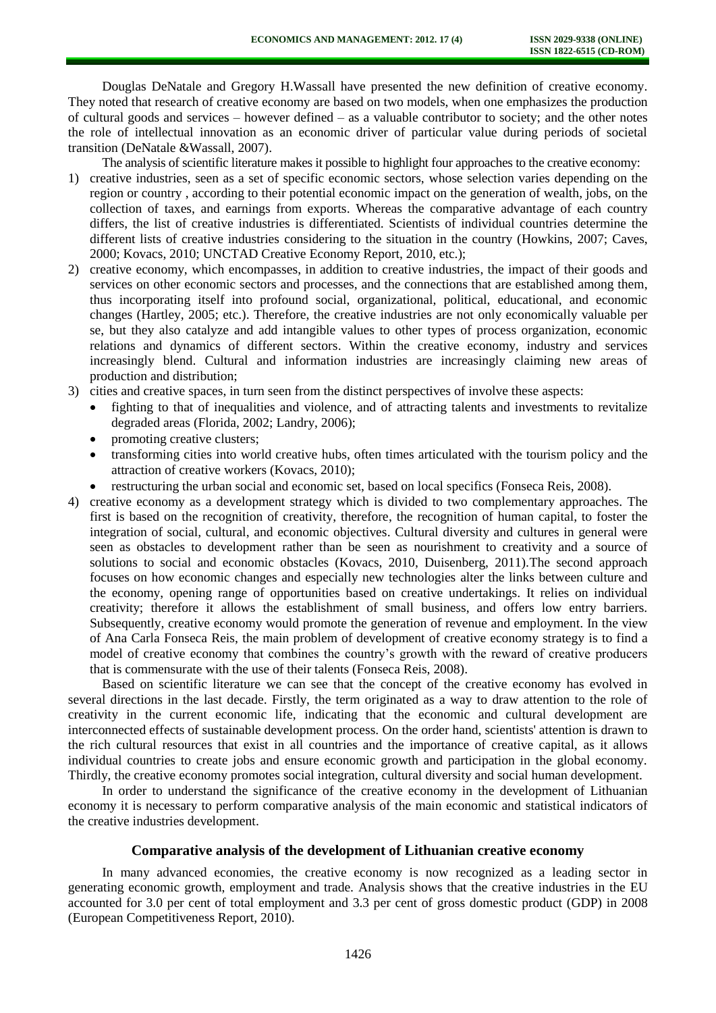Douglas DeNatale and Gregory H.Wassall have presented the new definition of creative economy. They noted that research of creative economy are based on two models, when one emphasizes the production of cultural goods and services – however defined – as a valuable contributor to society; and the other notes the role of intellectual innovation as an economic driver of particular value during periods of societal transition (DeNatale &Wassall, 2007).

The analysis of scientific literature makes it possible to highlight four approaches to the creative economy:

- 1) creative industries, seen as a set of specific economic sectors, whose selection varies depending on the region or country , according to their potential economic impact on the generation of wealth, jobs, on the collection of taxes, and earnings from exports. Whereas the comparative advantage of each country differs, the list of creative industries is differentiated. Scientists of individual countries determine the different lists of creative industries considering to the situation in the country (Howkins, 2007; Caves, 2000; Kovacs, 2010; UNCTAD Creative Economy Report, 2010, etc.);
- 2) creative economy, which encompasses, in addition to creative industries, the impact of their goods and services on other economic sectors and processes, and the connections that are established among them, thus incorporating itself into profound social, organizational, political, educational, and economic changes (Hartley, 2005; etc.). Therefore, the creative industries are not only economically valuable per se, but they also catalyze and add intangible values to other types of process organization, economic relations and dynamics of different sectors. Within the creative economy, industry and services increasingly blend. Cultural and information industries are increasingly claiming new areas of production and distribution;
- 3) cities and creative spaces, in turn seen from the distinct perspectives of involve these aspects:
	- fighting to that of inequalities and violence, and of attracting talents and investments to revitalize degraded areas (Florida, 2002; Landry, 2006);
	- promoting creative clusters;
	- transforming cities into world creative hubs, often times articulated with the tourism policy and the attraction of creative workers (Kovacs, 2010);
	- restructuring the urban social and economic set, based on local specifics (Fonseca Reis, 2008).
- 4) creative economy as a development strategy which is divided to two complementary approaches. The first is based on the recognition of creativity, therefore, the recognition of human capital, to foster the integration of social, cultural, and economic objectives. Cultural diversity and cultures in general were seen as obstacles to development rather than be seen as nourishment to creativity and a source of solutions to social and economic obstacles (Kovacs, 2010, Duisenberg, 2011).The second approach focuses on how economic changes and especially new technologies alter the links between culture and the economy, opening range of opportunities based on creative undertakings. It relies on individual creativity; therefore it allows the establishment of small business, and offers low entry barriers. Subsequently, creative economy would promote the generation of revenue and employment. In the view of Ana Carla Fonseca Reis, the main problem of development of creative economy strategy is to find a model of creative economy that combines the country's growth with the reward of creative producers that is commensurate with the use of their talents (Fonseca Reis, 2008).

Based on scientific literature we can see that the concept of the creative economy has evolved in several directions in the last decade. Firstly, the term originated as a way to draw attention to the role of creativity in the current economic life, indicating that the economic and cultural development are interconnected effects of sustainable development process. On the order hand, scientists' attention is drawn to the rich cultural resources that exist in all countries and the importance of creative capital, as it allows individual countries to create jobs and ensure economic growth and participation in the global economy. Thirdly, the creative economy promotes social integration, cultural diversity and social human development.

In order to understand the significance of the creative economy in the development of Lithuanian economy it is necessary to perform comparative analysis of the main economic and statistical indicators of the creative industries development.

# **Comparative analysis of the development of Lithuanian creative economy**

In many advanced economies, the creative economy is now recognized as a leading sector in generating economic growth, employment and trade. Analysis shows that the creative industries in the EU accounted for 3.0 per cent of total employment and 3.3 per cent of gross domestic product (GDP) in 2008 (European Competitiveness Report, 2010).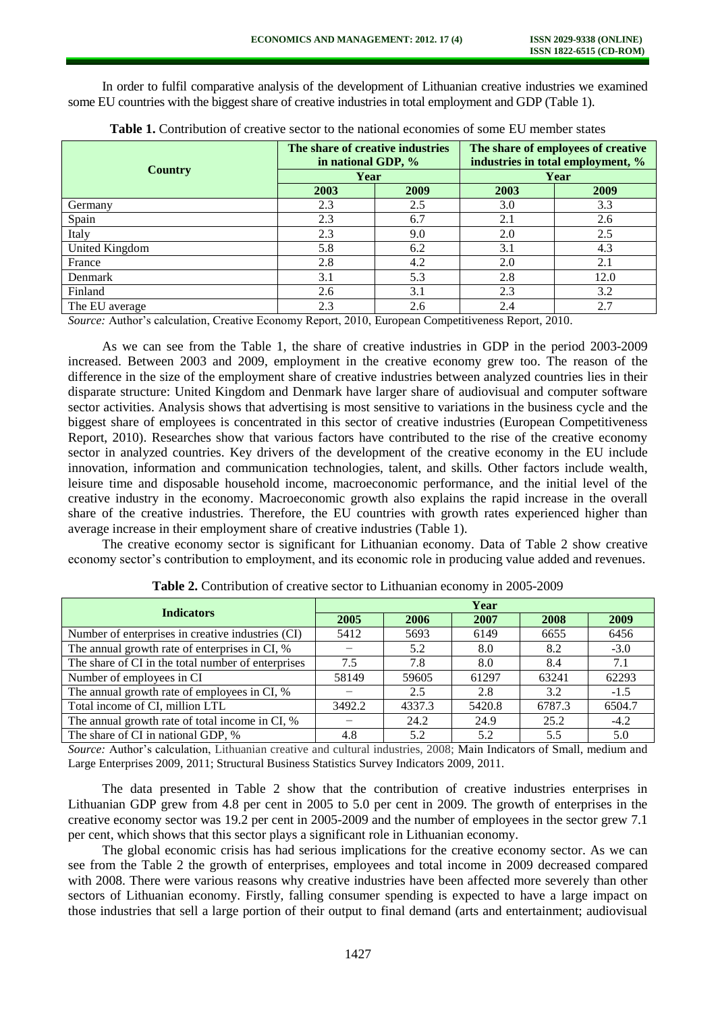In order to fulfil comparative analysis of the development of Lithuanian creative industries we examined some EU countries with the biggest share of creative industries in total employment and GDP (Table 1).

| <b>Country</b> | The share of creative industries<br>in national GDP, % |      | The share of employees of creative<br>industries in total employment, % |      |  |
|----------------|--------------------------------------------------------|------|-------------------------------------------------------------------------|------|--|
|                | Year                                                   |      | Year                                                                    |      |  |
|                | 2003                                                   | 2009 | 2003                                                                    | 2009 |  |
| Germany        | 2.3                                                    | 2.5  | 3.0                                                                     | 3.3  |  |
| Spain          | 2.3                                                    | 6.7  | 2.1                                                                     | 2.6  |  |
| Italy          | 2.3                                                    | 9.0  | 2.0                                                                     | 2.5  |  |
| United Kingdom | 5.8                                                    | 6.2  | 3.1                                                                     | 4.3  |  |
| France         | 2.8                                                    | 4.2  | 2.0                                                                     | 2.1  |  |
| Denmark        | 3.1                                                    | 5.3  | 2.8                                                                     | 12.0 |  |
| Finland        | 2.6                                                    | 3.1  | 2.3                                                                     | 3.2  |  |
| The EU average | 2.3                                                    | 2.6  | 2.4                                                                     | 2.7  |  |

**Table 1.** Contribution of creative sector to the national economies of some EU member states

*Source:* Author's calculation, Creative Economy Report, 2010, European Competitiveness Report, 2010.

As we can see from the Table 1, the share of creative industries in GDP in the period 2003-2009 increased. Between 2003 and 2009, employment in the creative economy grew too. The reason of the difference in the size of the employment share of creative industries between analyzed countries lies in their disparate structure: United Kingdom and Denmark have larger share of audiovisual and computer software sector activities. Analysis shows that advertising is most sensitive to variations in the business cycle and the biggest share of employees is concentrated in this sector of creative industries (European Competitiveness Report, 2010). Researches show that various factors have contributed to the rise of the creative economy sector in analyzed countries. Key drivers of the development of the creative economy in the EU include innovation, information and communication technologies, talent, and skills. Other factors include wealth, leisure time and disposable household income, macroeconomic performance, and the initial level of the creative industry in the economy. Macroeconomic growth also explains the rapid increase in the overall share of the creative industries. Therefore, the EU countries with growth rates experienced higher than average increase in their employment share of creative industries (Table 1).

The creative economy sector is significant for Lithuanian economy. Data of Table 2 show creative economy sector's contribution to employment, and its economic role in producing value added and revenues.

| <b>Indicators</b>                                  | Year   |        |        |        |        |  |  |
|----------------------------------------------------|--------|--------|--------|--------|--------|--|--|
|                                                    | 2005   | 2006   | 2007   | 2008   | 2009   |  |  |
| Number of enterprises in creative industries (CI)  | 5412   | 5693   | 6149   | 6655   | 6456   |  |  |
| The annual growth rate of enterprises in CI, %     |        | 5.2    | 8.0    | 8.2    | $-3.0$ |  |  |
| The share of CI in the total number of enterprises | 7.5    | 7.8    | 8.0    | 8.4    | 7.1    |  |  |
| Number of employees in CI                          | 58149  | 59605  | 61297  | 63241  | 62293  |  |  |
| The annual growth rate of employees in CI, %       |        | 2.5    | 2.8    | 3.2    | $-1.5$ |  |  |
| Total income of CI, million LTL                    | 3492.2 | 4337.3 | 5420.8 | 6787.3 | 6504.7 |  |  |
| The annual growth rate of total income in CI, %    |        | 24.2   | 24.9   | 25.2   | $-4.2$ |  |  |
| The share of CI in national GDP, %                 | 4.8    | 5.2    | 5.2    | 5.5    | 5.0    |  |  |

**Table 2.** Contribution of creative sector to Lithuanian economy in 2005-2009

*Source:* Author's calculation, Lithuanian creative and cultural industries, 2008; Main Indicators of Small, medium and Large Enterprises 2009, 2011; Structural Business Statistics Survey Indicators 2009, 2011.

The data presented in Table 2 show that the contribution of creative industries enterprises in Lithuanian GDP grew from 4.8 per cent in 2005 to 5.0 per cent in 2009. The growth of enterprises in the creative economy sector was 19.2 per cent in 2005-2009 and the number of employees in the sector grew 7.1 per cent, which shows that this sector plays a significant role in Lithuanian economy.

The global economic crisis has had serious implications for the creative economy sector. As we can see from the Table 2 the growth of enterprises, employees and total income in 2009 decreased compared with 2008. There were various reasons why creative industries have been affected more severely than other sectors of Lithuanian economy. Firstly, falling consumer spending is expected to have a large impact on those industries that sell a large portion of their output to final demand (arts and entertainment; audiovisual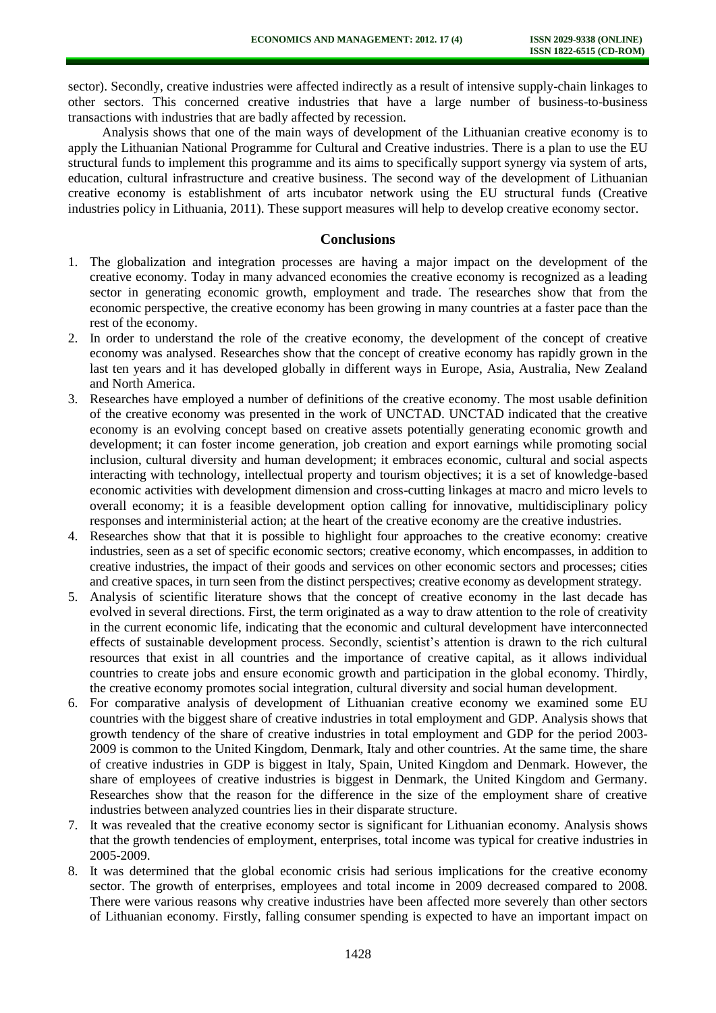sector). Secondly, creative industries were affected indirectly as a result of intensive supply-chain linkages to other sectors. This concerned creative industries that have a large number of business-to-business transactions with industries that are badly affected by recession.

Analysis shows that one of the main ways of development of the Lithuanian creative economy is to apply the Lithuanian National Programme for Cultural and Creative industries. There is a plan to use the EU structural funds to implement this programme and its aims to specifically support synergy via system of arts, education, cultural infrastructure and creative business. The second way of the development of Lithuanian creative economy is establishment of arts incubator network using the EU structural funds (Creative industries policy in Lithuania, 2011). These support measures will help to develop creative economy sector.

#### **Conclusions**

- 1. The globalization and integration processes are having a major impact on the development of the creative economy. Today in many advanced economies the creative economy is recognized as a leading sector in generating economic growth, employment and trade. The researches show that from the economic perspective, the creative economy has been growing in many countries at a faster pace than the rest of the economy.
- 2. In order to understand the role of the creative economy, the development of the concept of creative economy was analysed. Researches show that the concept of creative economy has rapidly grown in the last ten years and it has developed globally in different ways in Europe, Asia, Australia, New Zealand and North America.
- 3. Researches have employed a number of definitions of the creative economy. The most usable definition of the creative economy was presented in the work of UNCTAD. UNCTAD indicated that the creative economy is an evolving concept based on creative assets potentially generating economic growth and development; it can foster income generation, job creation and export earnings while promoting social inclusion, cultural diversity and human development; it embraces economic, cultural and social aspects interacting with technology, intellectual property and tourism objectives; it is a set of knowledge-based economic activities with development dimension and cross-cutting linkages at macro and micro levels to overall economy; it is a feasible development option calling for innovative, multidisciplinary policy responses and interministerial action; at the heart of the creative economy are the creative industries.
- 4. Researches show that that it is possible to highlight four approaches to the creative economy: creative industries, seen as a set of specific economic sectors; creative economy, which encompasses, in addition to creative industries, the impact of their goods and services on other economic sectors and processes; cities and creative spaces, in turn seen from the distinct perspectives; creative economy as development strategy.
- 5. Analysis of scientific literature shows that the concept of creative economy in the last decade has evolved in several directions. First, the term originated as a way to draw attention to the role of creativity in the current economic life, indicating that the economic and cultural development have interconnected effects of sustainable development process. Secondly, scientist's attention is drawn to the rich cultural resources that exist in all countries and the importance of creative capital, as it allows individual countries to create jobs and ensure economic growth and participation in the global economy. Thirdly, the creative economy promotes social integration, cultural diversity and social human development.
- 6. For comparative analysis of development of Lithuanian creative economy we examined some EU countries with the biggest share of creative industries in total employment and GDP. Analysis shows that growth tendency of the share of creative industries in total employment and GDP for the period 2003- 2009 is common to the United Kingdom, Denmark, Italy and other countries. At the same time, the share of creative industries in GDP is biggest in Italy, Spain, United Kingdom and Denmark. However, the share of employees of creative industries is biggest in Denmark, the United Kingdom and Germany. Researches show that the reason for the difference in the size of the employment share of creative industries between analyzed countries lies in their disparate structure.
- 7. It was revealed that the creative economy sector is significant for Lithuanian economy. Analysis shows that the growth tendencies of employment, enterprises, total income was typical for creative industries in 2005-2009.
- 8. It was determined that the global economic crisis had serious implications for the creative economy sector. The growth of enterprises, employees and total income in 2009 decreased compared to 2008. There were various reasons why creative industries have been affected more severely than other sectors of Lithuanian economy. Firstly, falling consumer spending is expected to have an important impact on